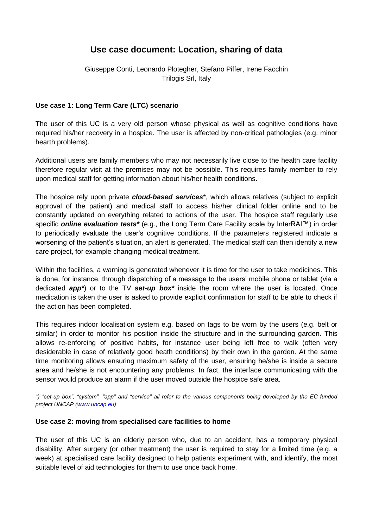# **Use case document: Location, sharing of data**

Giuseppe Conti, Leonardo Plotegher, Stefano Piffer, Irene Facchin Trilogis Srl, Italy

## **Use case 1: Long Term Care (LTC) scenario**

The user of this UC is a very old person whose physical as well as cognitive conditions have required his/her recovery in a hospice. The user is affected by non-critical pathologies (e.g. minor hearth problems).

Additional users are family members who may not necessarily live close to the health care facility therefore regular visit at the premises may not be possible. This requires family member to rely upon medical staff for getting information about his/her health conditions.

The hospice rely upon private *cloud-based services*\*, which allows relatives (subject to explicit approval of the patient) and medical staff to access his/her clinical folder online and to be constantly updated on everything related to actions of the user. The hospice staff regularly use specific *online evaluation tests\** (e.g., the Long Term Care Facility scale by InterRAI™) in order to periodically evaluate the user's cognitive conditions. If the parameters registered indicate a worsening of the patient's situation, an alert is generated. The medical staff can then identify a new care project, for example changing medical treatment.

Within the facilities, a warning is generated whenever it is time for the user to take medicines. This is done, for instance, through dispatching of a message to the users' mobile phone or tablet (via a dedicated *app\**) or to the TV *set-up box\** inside the room where the user is located. Once medication is taken the user is asked to provide explicit confirmation for staff to be able to check if the action has been completed.

This requires indoor localisation system e.g. based on tags to be worn by the users (e.g. belt or similar) in order to monitor his position inside the structure and in the surrounding garden. This allows re-enforcing of positive habits, for instance user being left free to walk (often very desiderable in case of relatively good heath conditions) by their own in the garden. At the same time monitoring allows ensuring maximum safety of the user, ensuring he/she is inside a secure area and he/she is not encountering any problems. In fact, the interface communicating with the sensor would produce an alarm if the user moved outside the hospice safe area.

*\*) "set-up box", "system", "app" and "service" all refer to the various components being developed by the EC funded project UNCAP [\(www.uncap.eu\)](http://www.uncap.eu/)* 

#### **Use case 2: moving from specialised care facilities to home**

The user of this UC is an elderly person who, due to an accident, has a temporary physical disability. After surgery (or other treatment) the user is required to stay for a limited time (e.g. a week) at specialised care facility designed to help patients experiment with, and identify, the most suitable level of aid technologies for them to use once back home.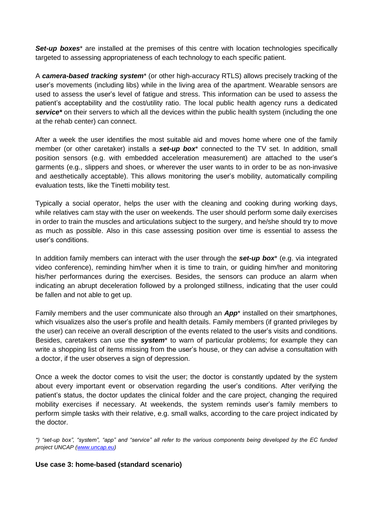**Set-up boxes**<sup>\*</sup> are installed at the premises of this centre with location technologies specifically targeted to assessing appropriateness of each technology to each specific patient.

A *camera-based tracking system*\* (or other high-accuracy RTLS) allows precisely tracking of the user's movements (including libs) while in the living area of the apartment. Wearable sensors are used to assess the user's level of fatigue and stress. This information can be used to assess the patient's acceptability and the cost/utility ratio. The local public health agency runs a dedicated *service\** on their servers to which all the devices within the public health system (including the one at the rehab center) can connect.

After a week the user identifies the most suitable aid and moves home where one of the family member (or other caretaker) installs a *set-up box*\* connected to the TV set. In addition, small position sensors (e.g. with embedded acceleration measurement) are attached to the user's garments (e.g., slippers and shoes, or wherever the user wants to in order to be as non-invasive and aesthetically acceptable). This allows monitoring the user's mobility, automatically compiling evaluation tests, like the Tinetti mobility test.

Typically a social operator, helps the user with the cleaning and cooking during working days, while relatives cam stay with the user on weekends. The user should perform some daily exercises in order to train the muscles and articulations subject to the surgery, and he/she should try to move as much as possible. Also in this case assessing position over time is essential to assess the user's conditions.

In addition family members can interact with the user through the *set-up box*\* (e.g. via integrated video conference), reminding him/her when it is time to train, or guiding him/her and monitoring his/her performances during the exercises. Besides, the sensors can produce an alarm when indicating an abrupt deceleration followed by a prolonged stillness, indicating that the user could be fallen and not able to get up.

Family members and the user communicate also through an *App*\* installed on their smartphones, which visualizes also the user's profile and health details. Family members (if granted privileges by the user) can receive an overall description of the events related to the user's visits and conditions. Besides, caretakers can use the *system*\* to warn of particular problems; for example they can write a shopping list of items missing from the user's house, or they can advise a consultation with a doctor, if the user observes a sign of depression.

Once a week the doctor comes to visit the user; the doctor is constantly updated by the system about every important event or observation regarding the user's conditions. After verifying the patient's status, the doctor updates the clinical folder and the care project, changing the required mobility exercises if necessary. At weekends, the system reminds user's family members to perform simple tasks with their relative, e.g. small walks, according to the care project indicated by the doctor.

*\*) "set-up box", "system", "app" and "service" all refer to the various components being developed by the EC funded project UNCAP [\(www.uncap.eu\)](http://www.uncap.eu/)* 

### **Use case 3: home-based (standard scenario)**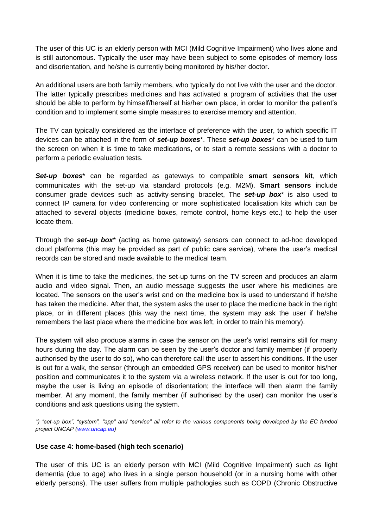The user of this UC is an elderly person with MCI (Mild Cognitive Impairment) who lives alone and is still autonomous. Typically the user may have been subject to some episodes of memory loss and disorientation, and he/she is currently being monitored by his/her doctor.

An additional users are both family members, who typically do not live with the user and the doctor. The latter typically prescribes medicines and has activated a program of activities that the user should be able to perform by himself/herself at his/her own place, in order to monitor the patient's condition and to implement some simple measures to exercise memory and attention.

The TV can typically considered as the interface of preference with the user, to which specific IT devices can be attached in the form of *set-up boxes*\*. These *set-up boxes*\* can be used to turn the screen on when it is time to take medications, or to start a remote sessions with a doctor to perform a periodic evaluation tests.

*Set-up boxes*\* can be regarded as gateways to compatible **smart sensors kit**, which communicates with the set-up via standard protocols (e.g. M2M). **Smart sensors** include consumer grade devices such as activity-sensing bracelet, The *set-up box*\* is also used to connect IP camera for video conferencing or more sophisticated localisation kits which can be attached to several objects (medicine boxes, remote control, home keys etc.) to help the user locate them.

Through the *set-up box*\* (acting as home gateway) sensors can connect to ad-hoc developed cloud platforms (this may be provided as part of public care service), where the user's medical records can be stored and made available to the medical team.

When it is time to take the medicines, the set-up turns on the TV screen and produces an alarm audio and video signal. Then, an audio message suggests the user where his medicines are located. The sensors on the user's wrist and on the medicine box is used to understand if he/she has taken the medicine. After that, the system asks the user to place the medicine back in the right place, or in different places (this way the next time, the system may ask the user if he/she remembers the last place where the medicine box was left, in order to train his memory).

The system will also produce alarms in case the sensor on the user's wrist remains still for many hours during the day. The alarm can be seen by the user's doctor and family member (if properly authorised by the user to do so), who can therefore call the user to assert his conditions. If the user is out for a walk, the sensor (through an embedded GPS receiver) can be used to monitor his/her position and communicates it to the system via a wireless network. If the user is out for too long, maybe the user is living an episode of disorientation; the interface will then alarm the family member. At any moment, the family member (if authorised by the user) can monitor the user's conditions and ask questions using the system.

*\*) "set-up box", "system", "app" and "service" all refer to the various components being developed by the EC funded project UNCAP [\(www.uncap.eu\)](http://www.uncap.eu/)* 

### **Use case 4: home-based (high tech scenario)**

The user of this UC is an elderly person with MCI (Mild Cognitive Impairment) such as light dementia (due to age) who lives in a single person household (or in a nursing home with other elderly persons). The user suffers from multiple pathologies such as COPD (Chronic Obstructive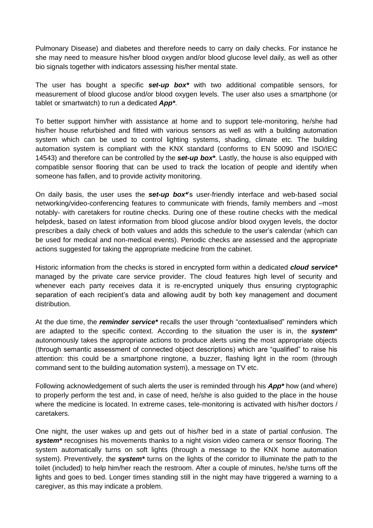Pulmonary Disease) and diabetes and therefore needs to carry on daily checks. For instance he she may need to measure his/her blood oxygen and/or blood glucose level daily, as well as other bio signals together with indicators assessing his/her mental state.

The user has bought a specific *set-up box\** with two additional compatible sensors, for measurement of blood glucose and/or blood oxygen levels. The user also uses a smartphone (or tablet or smartwatch) to run a dedicated *App\**.

To better support him/her with assistance at home and to support tele-monitoring, he/she had his/her house refurbished and fitted with various sensors as well as with a building automation system which can be used to control lighting systems, shading, climate etc. The building automation system is compliant with the KNX standard (conforms to EN 50090 and ISO/IEC 14543) and therefore can be controlled by the *set-up box\**. Lastly, the house is also equipped with compatible sensor flooring that can be used to track the location of people and identify when someone has fallen, and to provide activity monitoring.

On daily basis, the user uses the *set-up box\**'s user-friendly interface and web-based social networking/video-conferencing features to communicate with friends, family members and –most notably- with caretakers for routine checks. During one of these routine checks with the medical helpdesk, based on latest information from blood glucose and/or blood oxygen levels, the doctor prescribes a daily check of both values and adds this schedule to the user's calendar (which can be used for medical and non-medical events). Periodic checks are assessed and the appropriate actions suggested for taking the appropriate medicine from the cabinet.

Historic information from the checks is stored in encrypted form within a dedicated *cloud service\** managed by the private care service provider. The cloud features high level of security and whenever each party receives data it is re-encrypted uniquely thus ensuring cryptographic separation of each recipient's data and allowing audit by both key management and document distribution.

At the due time, the *reminder service\** recalls the user through "contextualised" reminders which are adapted to the specific context. According to the situation the user is in, the *system*\* autonomously takes the appropriate actions to produce alerts using the most appropriate objects (through semantic assessment of connected object descriptions) which are "qualified" to raise his attention: this could be a smartphone ringtone, a buzzer, flashing light in the room (through command sent to the building automation system), a message on TV etc.

Following acknowledgement of such alerts the user is reminded through his *App\** how (and where) to properly perform the test and, in case of need, he/she is also guided to the place in the house where the medicine is located. In extreme cases, tele-monitoring is activated with his/her doctors / caretakers.

One night, the user wakes up and gets out of his/her bed in a state of partial confusion. The *system\** recognises his movements thanks to a night vision video camera or sensor flooring. The system automatically turns on soft lights (through a message to the KNX home automation system). Preventively, the *system\** turns on the lights of the corridor to illuminate the path to the toilet (included) to help him/her reach the restroom. After a couple of minutes, he/she turns off the lights and goes to bed. Longer times standing still in the night may have triggered a warning to a caregiver, as this may indicate a problem.